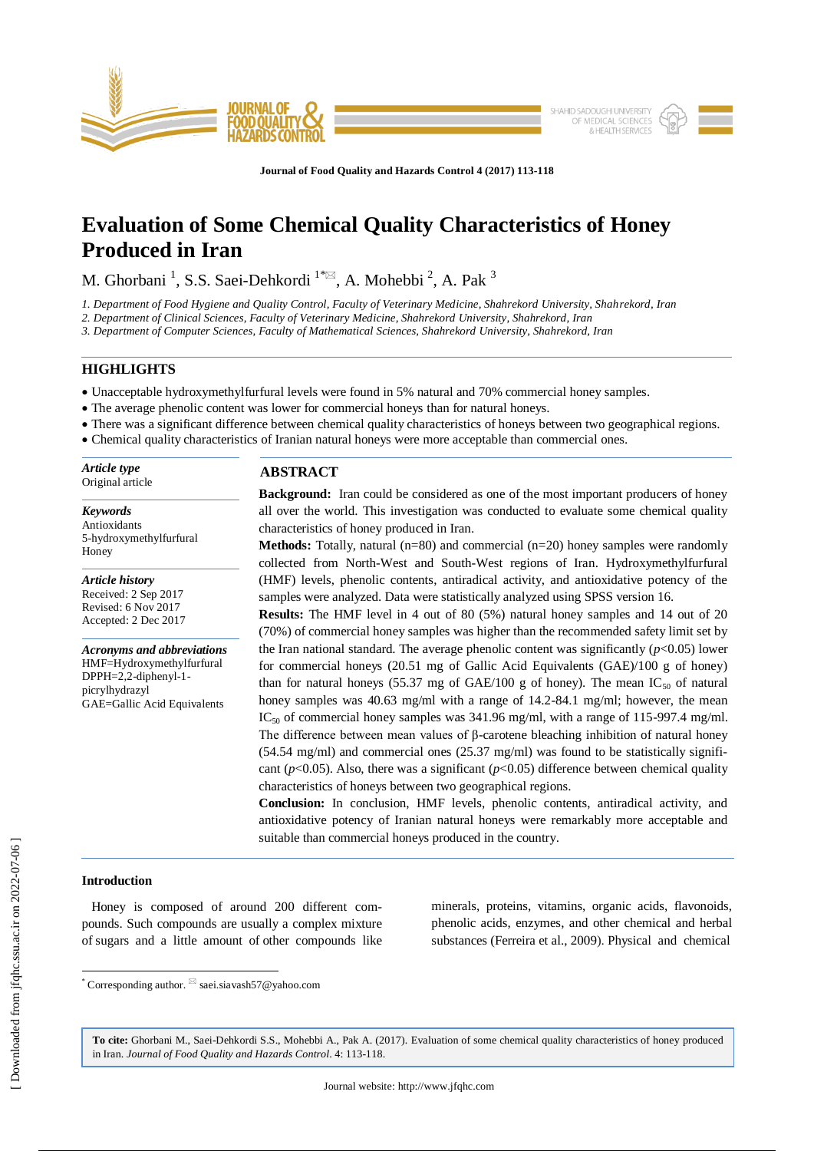

**Journal of Food Quality and Hazards Control 4 (2017) 113-118**

# **Evaluation of Some Chemical Quality Characteristics of Honey Produced in Iran**

M. Ghorbani<sup>1</sup>, S.S. Saei-Dehkordi<sup>1\*</sup><sup>2</sup>, A. Mohebbi<sup>2</sup>, A. Pak<sup>3</sup>

*1. Department of Food Hygiene and Quality Control, Faculty of Veterinary Medicine, Shahrekord University, Shahrekord, Iran*

*2. Department of Clinical Sciences, Faculty of Veterinary Medicine, Shahrekord University, Shahrekord, Iran*

*3. Department of Computer Sciences, Faculty of Mathematical Sciences, Shahrekord University, Shahrekord, Iran*

## **HIGHLIGHTS**

- Unacceptable hydroxymethylfurfural levels were found in 5% natural and 70% commercial honey samples.
- The average phenolic content was lower for commercial honeys than for natural honeys.
- There was a significant difference between chemical quality characteristics of honeys between two geographical regions.
- Chemical quality characteristics of Iranian natural honeys were more acceptable than commercial ones.

| Article type<br>Original article | <b>ABSTRACT</b>                                                                             |
|----------------------------------|---------------------------------------------------------------------------------------------|
|                                  | <b>Background:</b> Iran could be considered as one of the most important producers of honey |

*Keywords* Antioxidants 5-hydroxymethylfurfural Honey

*Article history* Received: 2 Sep 2017 Revised: 6 Nov 2017 Accepted: 2 Dec 2017

*Acronyms and abbreviations* HMF=Hydroxymethylfurfural DPPH=2,2-diphenyl-1 picrylhydrazyl GAE=Gallic Acid Equivalents

**Background:** Iran could be considered as one of the most important producers of honey all over the world. This investigation was conducted to evaluate some chemical quality characteristics of honey produced in Iran.

**Methods:** Totally, natural (n=80) and commercial (n=20) honey samples were randomly collected from North-West and South-West regions of Iran. Hydroxymethylfurfural (HMF) levels, phenolic contents, antiradical activity, and antioxidative potency of the samples were analyzed. Data were statistically analyzed using SPSS version 16.

**Results:** The HMF level in 4 out of 80 (5%) natural honey samples and 14 out of 20 (70%) of commercial honey samples was higher than the recommended safety limit set by the Iran national standard. The average phenolic content was significantly  $(p<0.05)$  lower for commercial honeys (20.51 mg of Gallic Acid Equivalents (GAE)/100 g of honey) than for natural honeys (55.37 mg of GAE/100 g of honey). The mean  $IC_{50}$  of natural honey samples was 40.63 mg/ml with a range of 14.2-84.1 mg/ml; however, the mean  $IC_{50}$  of commercial honey samples was 341.96 mg/ml, with a range of 115-997.4 mg/ml. The difference between mean values of β-carotene bleaching inhibition of natural honey  $(54.54 \text{ mg/ml})$  and commercial ones  $(25.37 \text{ mg/ml})$  was found to be statistically significant ( $p$ <0.05). Also, there was a significant ( $p$ <0.05) difference between chemical quality characteristics of honeys between two geographical regions.

**Conclusion:** In conclusion, HMF levels, phenolic contents, antiradical activity, and antioxidative potency of Iranian natural honeys were remarkably more acceptable and suitable than commercial honeys produced in the country.

## **Introduction**

 $\overline{\phantom{a}}$ 

 Honey is composed of around 200 different compounds. Such compounds are usually a complex mixture of sugars and a little amount of other compounds like minerals, proteins, vitamins, organic acids, flavonoids, phenolic acids, enzymes, and other chemical and herbal substances (Ferreira et al., 2009). Physical and chemical

**To cite:** Ghorbani M., Saei-Dehkordi S.S., Mohebbi A., Pak A. (2017). Evaluation of some chemical quality characteristics of honey produced in Iran. *Journal of Food Quality and Hazards Control*. 4: 113-118.

<sup>\*</sup> Corresponding author.  $\mathbb{Z}$  saei.siavash57@yahoo.com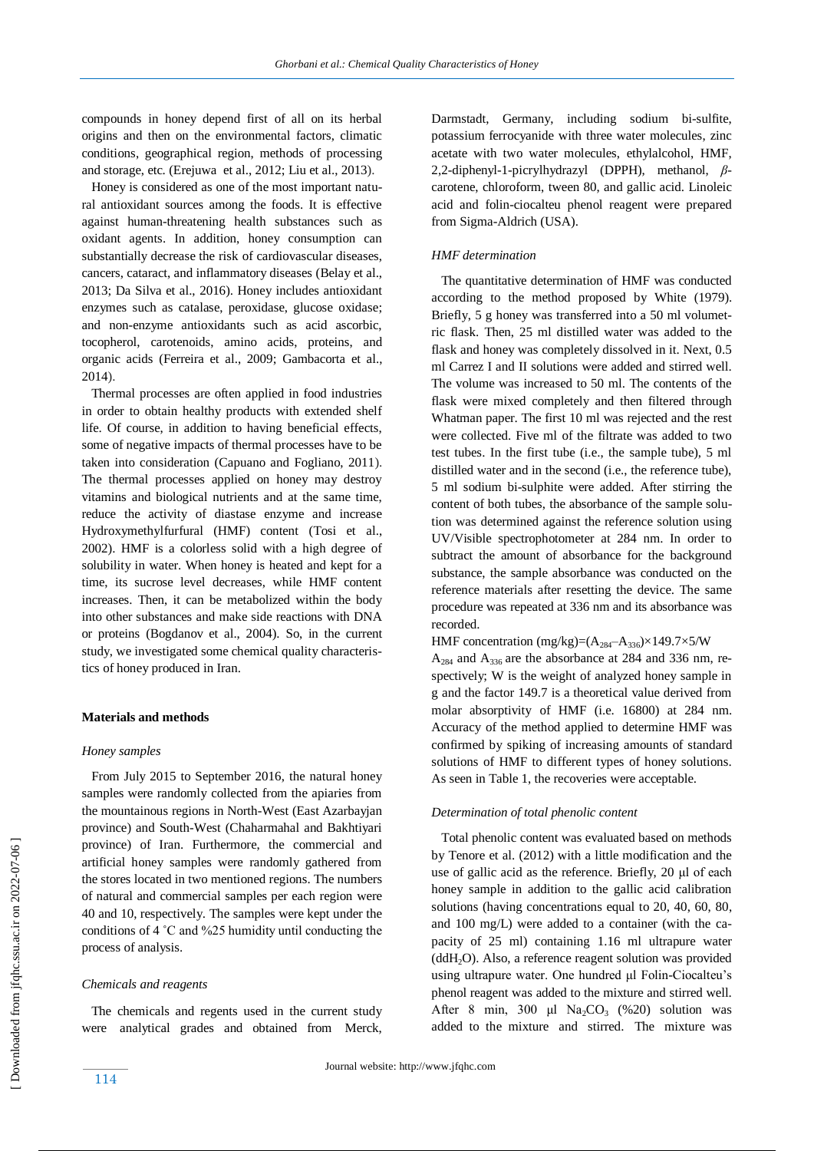compounds in honey depend first of all on its herbal origins and then on the environmental factors, climatic conditions, geographical region, methods of processing and storage, etc. (Erejuwa et al., 2012; Liu et al., 2013).

 Honey is considered as one of the most important natural antioxidant sources among the foods. It is effective against human-threatening health substances such as oxidant agents. In addition, honey consumption can substantially decrease the risk of cardiovascular diseases, cancers, cataract, and inflammatory diseases (Belay et al., 2013; Da Silva et al., 2016). Honey includes antioxidant enzymes such as catalase, peroxidase, glucose oxidase; and non-enzyme antioxidants such as acid ascorbic, tocopherol, carotenoids, amino acids, proteins, and organic acids (Ferreira et al., 2009; Gambacorta et al., 2014).

 Thermal processes are often applied in food industries in order to obtain healthy products with extended shelf life. Of course, in addition to having beneficial effects, some of negative impacts of thermal processes have to be taken into consideration (Capuano and Fogliano, 2011). The thermal processes applied on honey may destroy vitamins and biological nutrients and at the same time, reduce the activity of diastase enzyme and increase Hydroxymethylfurfural (HMF) content (Tosi et al., 2002). HMF is a colorless solid with a high degree of solubility in water. When honey is heated and kept for a time, its sucrose level decreases, while HMF content increases. Then, it can be metabolized within the body into other substances and make side reactions with DNA or proteins (Bogdanov et al., 2004). So, in the current study, we investigated some chemical quality characteristics of honey produced in Iran.

## **Materials and methods**

#### *Honey samples*

 From July 2015 to September 2016, the natural honey samples were randomly collected from the apiaries from the mountainous regions in North-West (East Azarbayjan province) and South-West (Chaharmahal and Bakhtiyari province) of Iran. Furthermore, the commercial and artificial honey samples were randomly gathered from the stores located in two mentioned regions. The numbers of natural and commercial samples per each region were 40 and 10, respectively. The samples were kept under the conditions of 4 ˚C and %25 humidity until conducting the process of analysis.

#### *Chemicals and reagents*

 The chemicals and regents used in the current study were analytical grades and obtained from Merck, Darmstadt, Germany, including sodium bi-sulfite, potassium ferrocyanide with three water molecules, zinc acetate with two water molecules, ethylalcohol, HMF, 2,2-diphenyl-1-picrylhydrazyl (DPPH), methanol, *β*carotene, chloroform, tween 80, and gallic acid. Linoleic acid and folin-ciocalteu phenol reagent were prepared from Sigma-Aldrich (USA).

#### *HMF determination*

 The quantitative determination of HMF was conducted according to the method proposed by White (1979). Briefly, 5 g honey was transferred into a 50 ml volumetric flask. Then, 25 ml distilled water was added to the flask and honey was completely dissolved in it. Next, 0.5 ml Carrez I and II solutions were added and stirred well. The volume was increased to 50 ml. The contents of the flask were mixed completely and then filtered through Whatman paper. The first 10 ml was rejected and the rest were collected. Five ml of the filtrate was added to two test tubes. In the first tube (i.e., the sample tube), 5 ml distilled water and in the second (i.e., the reference tube), 5 ml sodium bi-sulphite were added. After stirring the content of both tubes, the absorbance of the sample solution was determined against the reference solution using UV/Visible spectrophotometer at 284 nm. In order to subtract the amount of absorbance for the background substance, the sample absorbance was conducted on the reference materials after resetting the device. The same procedure was repeated at 336 nm and its absorbance was recorded.

HMF concentration (mg/kg)= $(A_{284}-A_{336}) \times 149.7 \times 5/W$ 

A<sup>284</sup> and A336 are the absorbance at 284 and 336 nm, respectively; W is the weight of analyzed honey sample in g and the factor 149.7 is a theoretical value derived from molar absorptivity of HMF (i.e. 16800) at 284 nm. Accuracy of the method applied to determine HMF was confirmed by spiking of increasing amounts of standard solutions of HMF to different types of honey solutions. As seen in Table 1, the recoveries were acceptable.

## *Determination of total phenolic content*

 Total phenolic content was evaluated based on methods by Tenore et al. (2012) with a little modification and the use of gallic acid as the reference. Briefly, 20 μl of each honey sample in addition to the gallic acid calibration solutions (having concentrations equal to 20, 40, 60, 80, and 100 mg/L) were added to a container (with the capacity of 25 ml) containing 1.16 ml ultrapure water (ddH2O). Also, a reference reagent solution was provided using ultrapure water. One hundred μl Folin-Ciocalteu's phenol reagent was added to the mixture and stirred well. After 8 min, 300 μl  $Na_2CO_3$  (%20) solution was added to the mixture and stirred. The mixture was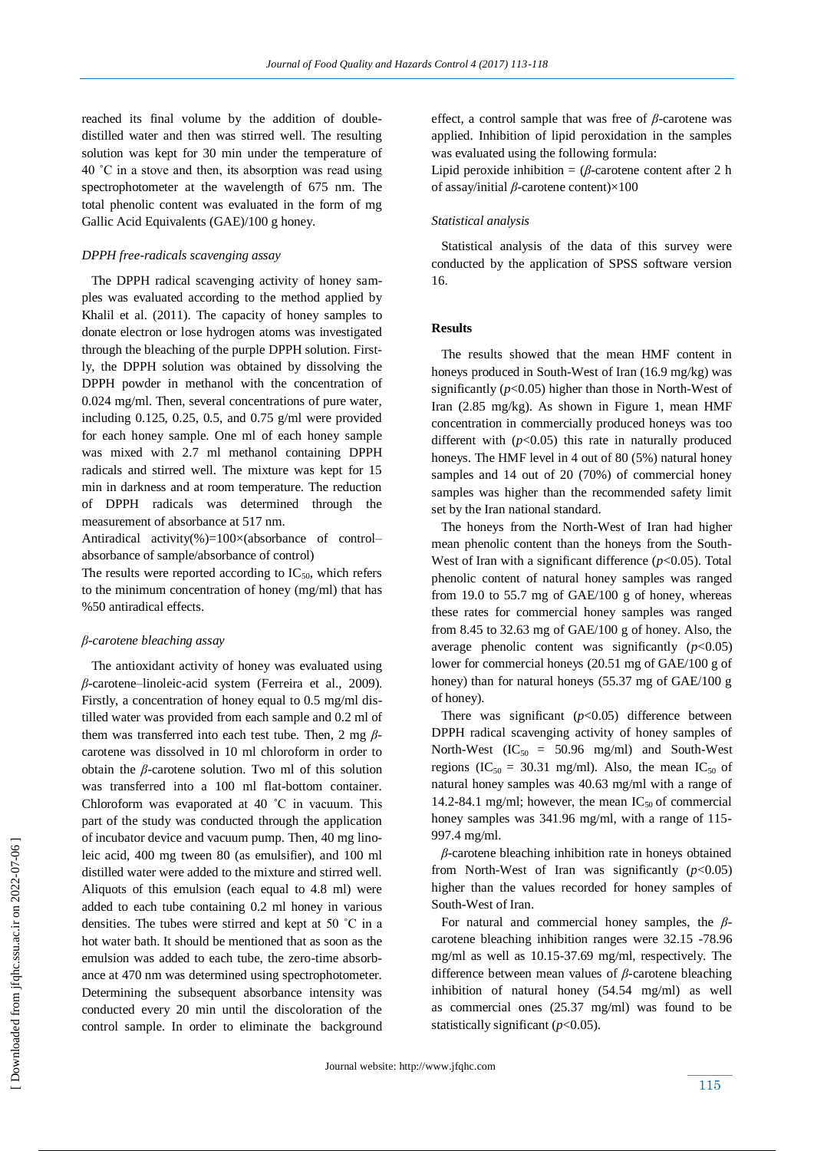reached its final volume by the addition of doubledistilled water and then was stirred well. The resulting solution was kept for 30 min under the temperature of 40 ˚C in a stove and then, its absorption was read using spectrophotometer at the wavelength of 675 nm. The total phenolic content was evaluated in the form of mg Gallic Acid Equivalents (GAE)/100 g honey.

#### *DPPH free-radicals scavenging assay*

 The DPPH radical scavenging activity of honey samples was evaluated according to the method applied by Khalil et al. (2011). The capacity of honey samples to donate electron or lose hydrogen atoms was investigated through the bleaching of the purple DPPH solution. Firstly, the DPPH solution was obtained by dissolving the DPPH powder in methanol with the concentration of 0.024 mg/ml. Then, several concentrations of pure water, including 0.125, 0.25, 0.5, and 0.75  $g/ml$  were provided for each honey sample. One ml of each honey sample was mixed with 2.7 ml methanol containing DPPH radicals and stirred well. The mixture was kept for 15 min in darkness and at room temperature. The reduction of DPPH radicals was determined through the measurement of absorbance at 517 nm.

Antiradical activity(%)=100 $\times$ (absorbance of control– absorbance of sample/absorbance of control)

The results were reported according to  $IC_{50}$ , which refers to the minimum concentration of honey (mg/ml) that has %50 antiradical effects.

#### *β-carotene bleaching assay*

 The antioxidant activity of honey was evaluated using *β*-carotene–linoleic-acid system (Ferreira et al., 2009). Firstly, a concentration of honey equal to 0.5 mg/ml distilled water was provided from each sample and 0.2 ml of them was transferred into each test tube. Then, 2 mg *β*carotene was dissolved in 10 ml chloroform in order to obtain the *β*-carotene solution. Two ml of this solution was transferred into a 100 ml flat-bottom container. Chloroform was evaporated at 40 ˚C in vacuum. This part of the study was conducted through the application of incubator device and vacuum pump. Then, 40 mg linoleic acid, 400 mg tween 80 (as emulsifier), and 100 ml distilled water were added to the mixture and stirred well. Aliquots of this emulsion (each equal to 4.8 ml) were added to each tube containing 0.2 ml honey in various densities. The tubes were stirred and kept at 50 ˚C in a hot water bath. It should be mentioned that as soon as the emulsion was added to each tube, the zero-time absorbance at 470 nm was determined using spectrophotometer. Determining the subsequent absorbance intensity was conducted every 20 min until the discoloration of the control sample. In order to eliminate the background

effect, a control sample that was free of *β*-carotene was applied. Inhibition of lipid peroxidation in the samples was evaluated using the following formula:

Lipid peroxide inhibition =  $(\beta$ -carotene content after 2 h of assay/initial *β*-carotene content)×100

#### *Statistical analysis*

 Statistical analysis of the data of this survey were conducted by the application of SPSS software version 16.

#### **Results**

 The results showed that the mean HMF content in honeys produced in South-West of Iran (16.9 mg/kg) was significantly (*p*<0.05) higher than those in North-West of Iran (2.85 mg/kg). As shown in Figure 1, mean HMF concentration in commercially produced honeys was too different with  $(p<0.05)$  this rate in naturally produced honeys. The HMF level in 4 out of 80 (5%) natural honey samples and 14 out of 20 (70%) of commercial honey samples was higher than the recommended safety limit set by the Iran national standard.

 The honeys from the North-West of Iran had higher mean phenolic content than the honeys from the South-West of Iran with a significant difference  $(p<0.05)$ . Total phenolic content of natural honey samples was ranged from 19.0 to 55.7 mg of GAE/100 g of honey, whereas these rates for commercial honey samples was ranged from 8.45 to 32.63 mg of GAE/100 g of honey. Also, the average phenolic content was significantly  $(p<0.05)$ lower for commercial honeys (20.51 mg of GAE/100 g of honey) than for natural honeys (55.37 mg of GAE/100 g of honey).

There was significant  $(p<0.05)$  difference between DPPH radical scavenging activity of honey samples of North-West  $(IC_{50} = 50.96$  mg/ml) and South-West regions (IC<sub>50</sub> = 30.31 mg/ml). Also, the mean IC<sub>50</sub> of natural honey samples was 40.63 mg/ml with a range of 14.2-84.1 mg/ml; however, the mean  $IC_{50}$  of commercial honey samples was 341.96 mg/ml, with a range of 115- 997.4 mg/ml.

 *β*-carotene bleaching inhibition rate in honeys obtained from North-West of Iran was significantly  $(p<0.05)$ higher than the values recorded for honey samples of South-West of Iran.

 For natural and commercial honey samples, the *β*carotene bleaching inhibition ranges were 32.15 -78.96 mg/ml as well as 10.15-37.69 mg/ml, respectively. The difference between mean values of *β*-carotene bleaching inhibition of natural honey (54.54 mg/ml) as well as commercial ones (25.37 mg/ml) was found to be statistically significant (*p*<0.05).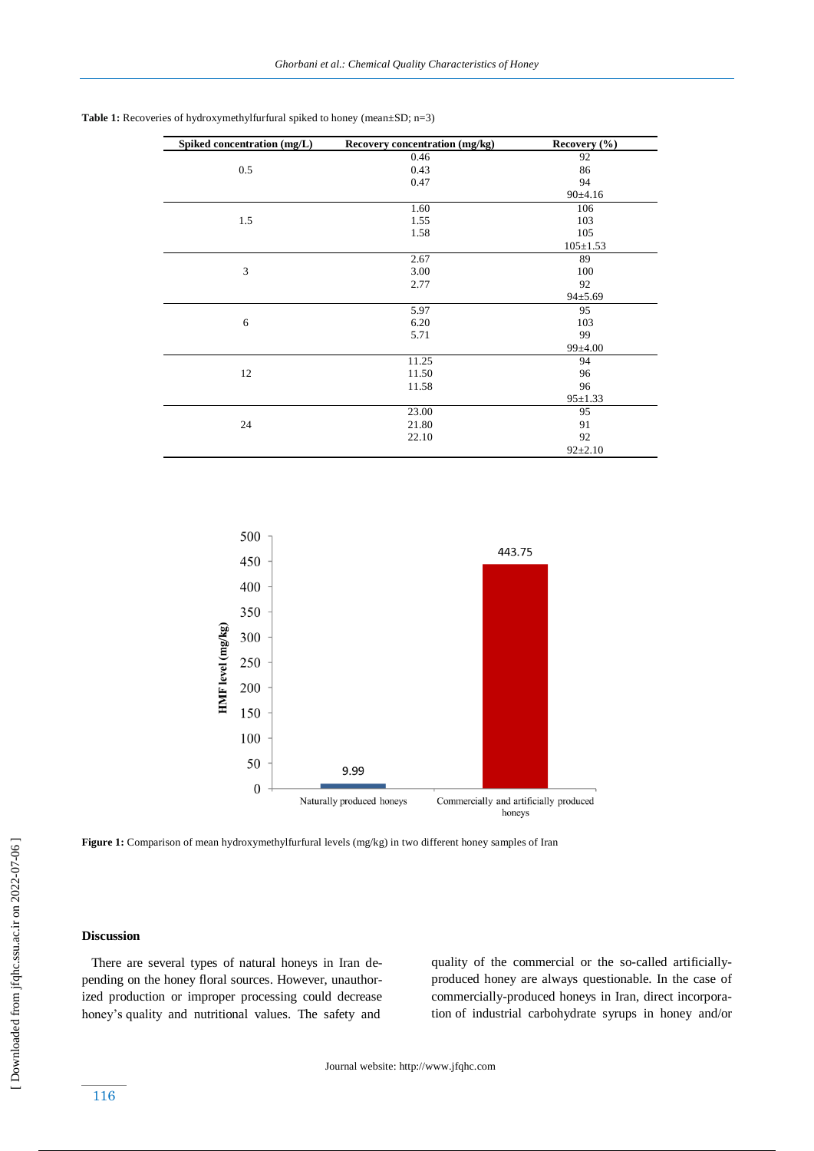| Spiked concentration (mg/L) | Recovery concentration (mg/kg) | Recovery $(\%$ |
|-----------------------------|--------------------------------|----------------|
|                             | 0.46                           | 92             |
| 0.5                         | 0.43                           | 86             |
|                             | 0.47                           | 94             |
|                             |                                | 90±4.16        |
|                             | 1.60                           | 106            |
| 1.5                         | 1.55                           | 103            |
|                             | 1.58                           | 105            |
|                             |                                | $105 \pm 1.53$ |
|                             | 2.67                           | 89             |
| 3                           | 3.00                           | 100            |
|                             | 2.77                           | 92             |
|                             |                                | $94 \pm 5.69$  |
|                             | 5.97                           | 95             |
| 6                           | 6.20                           | 103            |
|                             | 5.71                           | 99             |
|                             |                                | 99±4.00        |
|                             | 11.25                          | 94             |
| 12                          | 11.50                          | 96             |
|                             | 11.58                          | 96             |
|                             |                                | $95 \pm 1.33$  |
|                             | 23.00                          | 95             |
| 24                          | 21.80                          | 91             |
|                             | 22.10                          | 92             |
|                             |                                | $92 \pm 2.10$  |





Figure 1: Comparison of mean hydroxymethylfurfural levels (mg/kg) in two different honey samples of Iran

# **Discussion**

 There are several types of natural honeys in Iran depending on the honey floral sources. However, unauthorized production or improper processing could decrease honey's quality and nutritional values. The safety and

quality of the commercial or the so-called artificiallyproduced honey are always questionable. In the case of commercially-produced honeys in Iran, direct incorporation of industrial carbohydrate syrups in honey and/or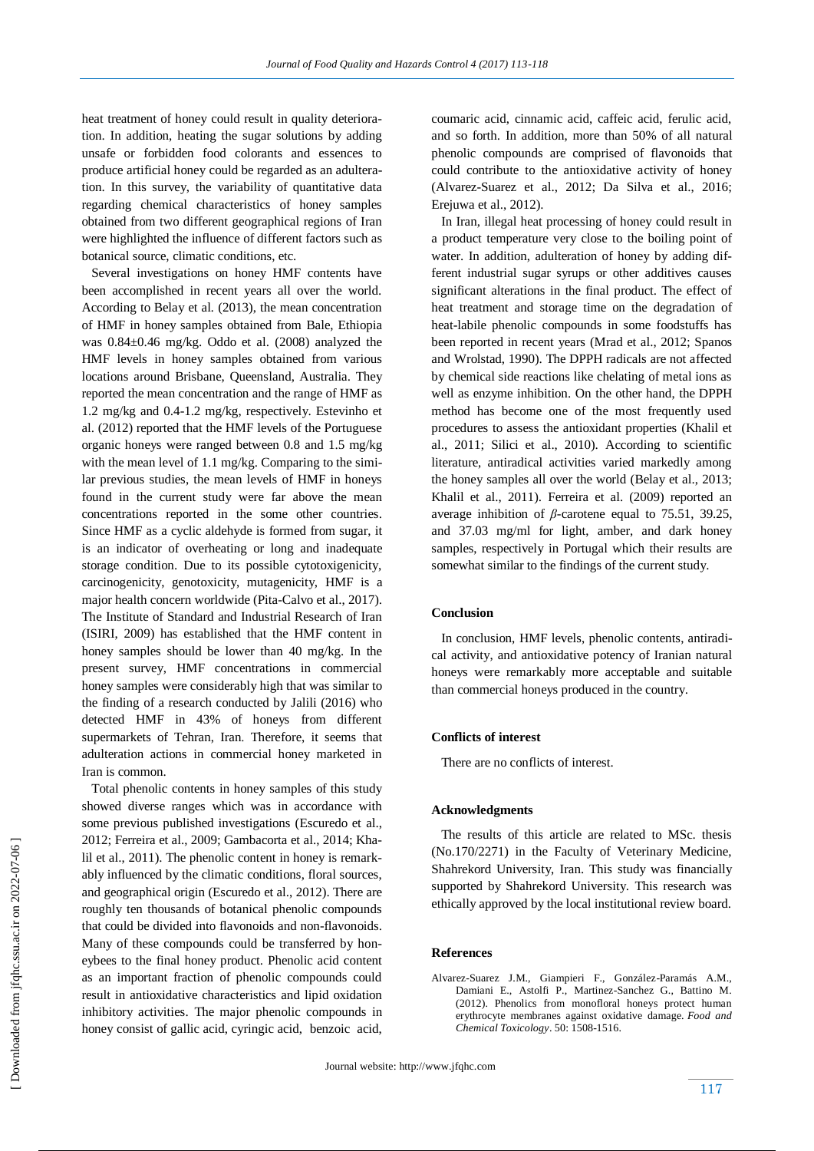heat treatment of honey could result in quality deterioration. In addition, heating the sugar solutions by adding unsafe or forbidden food colorants and essences to produce artificial honey could be regarded as an adulteration. In this survey, the variability of quantitative data regarding chemical characteristics of honey samples obtained from two different geographical regions of Iran were highlighted the influence of different factors such as botanical source, climatic conditions, etc.

 Several investigations on honey HMF contents have been accomplished in recent years all over the world. According to Belay et al*.* (2013), the mean concentration of HMF in honey samples obtained from Bale, Ethiopia was 0.84±0.46 mg/kg. Oddo et al. (2008) analyzed the HMF levels in honey samples obtained from various locations around Brisbane, Queensland, Australia. They reported the mean concentration and the range of HMF as 1.2 mg/kg and 0.4-1.2 mg/kg, respectively. Estevinho et al. (2012) reported that the HMF levels of the Portuguese organic honeys were ranged between 0.8 and 1.5 mg/kg with the mean level of 1.1 mg/kg. Comparing to the similar previous studies, the mean levels of HMF in honeys found in the current study were far above the mean concentrations reported in the some other countries. Since HMF as a cyclic aldehyde is formed from sugar, it is an indicator of overheating or long and inadequate storage condition. Due to its possible cytotoxigenicity, carcinogenicity, genotoxicity, mutagenicity, HMF is a major health concern worldwide (Pita-Calvo et al., 2017). The Institute of Standard and Industrial Research of Iran (ISIRI, 2009) has established that the HMF content in honey samples should be lower than 40 mg/kg. In the present survey, HMF concentrations in commercial honey samples were considerably high that was similar to the finding of a research conducted by Jalili (2016) who detected HMF in 43% of honeys from different supermarkets of Tehran, Iran. Therefore, it seems that adulteration actions in commercial honey marketed in Iran is common.

 Total phenolic contents in honey samples of this study showed diverse ranges which was in accordance with some previous published investigations (Escuredo et al., 2012; Ferreira et al., 2009; Gambacorta et al., 2014; Khalil et al., 2011). The phenolic content in honey is remarkably influenced by the climatic conditions, floral sources, and geographical origin (Escuredo et al., 2012). There are roughly ten thousands of botanical phenolic compounds that could be divided into flavonoids and non-flavonoids. Many of these compounds could be transferred by honeybees to the final honey product. Phenolic acid content as an important fraction of phenolic compounds could result in antioxidative characteristics and lipid oxidation inhibitory activities. The major phenolic compounds in honey consist of gallic acid, cyringic acid, benzoic acid, coumaric acid, cinnamic acid, caffeic acid, ferulic acid, and so forth. In addition, more than 50% of all natural phenolic compounds are comprised of flavonoids that could contribute to the antioxidative activity of honey (Alvarez-Suarez et al., 2012; Da Silva et al., 2016; Erejuwa et al., 2012).

 In Iran, illegal heat processing of honey could result in a product temperature very close to the boiling point of water. In addition, adulteration of honey by adding different industrial sugar syrups or other additives causes significant alterations in the final product. The effect of heat treatment and storage time on the degradation of heat-labile phenolic compounds in some foodstuffs has been reported in recent years (Mrad et al., 2012; Spanos and Wrolstad, 1990). The DPPH radicals are not affected by chemical side reactions like chelating of metal ions as well as enzyme inhibition. On the other hand, the DPPH method has become one of the most frequently used procedures to assess the antioxidant properties (Khalil et al., 2011; Silici et al., 2010). According to scientific literature, antiradical activities varied markedly among the honey samples all over the world (Belay et al., 2013; Khalil et al., 2011). Ferreira et al. (2009) reported an average inhibition of *β*-carotene equal to 75.51, 39.25, and 37.03 mg/ml for light, amber, and dark honey samples, respectively in Portugal which their results are somewhat similar to the findings of the current study.

## **Conclusion**

 In conclusion, HMF levels, phenolic contents, antiradical activity, and antioxidative potency of Iranian natural honeys were remarkably more acceptable and suitable than commercial honeys produced in the country.

#### **Conflicts of interest**

There are no conflicts of interest.

#### **Acknowledgments**

 The results of this article are related to MSc. thesis (No.170/2271) in the Faculty of Veterinary Medicine, Shahrekord University, Iran. This study was financially supported by Shahrekord University. This research was ethically approved by the local institutional review board.

#### **References**

Alvarez-Suarez J.M., Giampieri F., González-Paramás A.M., Damiani E., Astolfi P., Martinez-Sanchez G., Battino M. (2012). Phenolics from monofloral honeys protect human erythrocyte membranes against oxidative damage. *Food and Chemical Toxicology*. 50: 1508-1516.